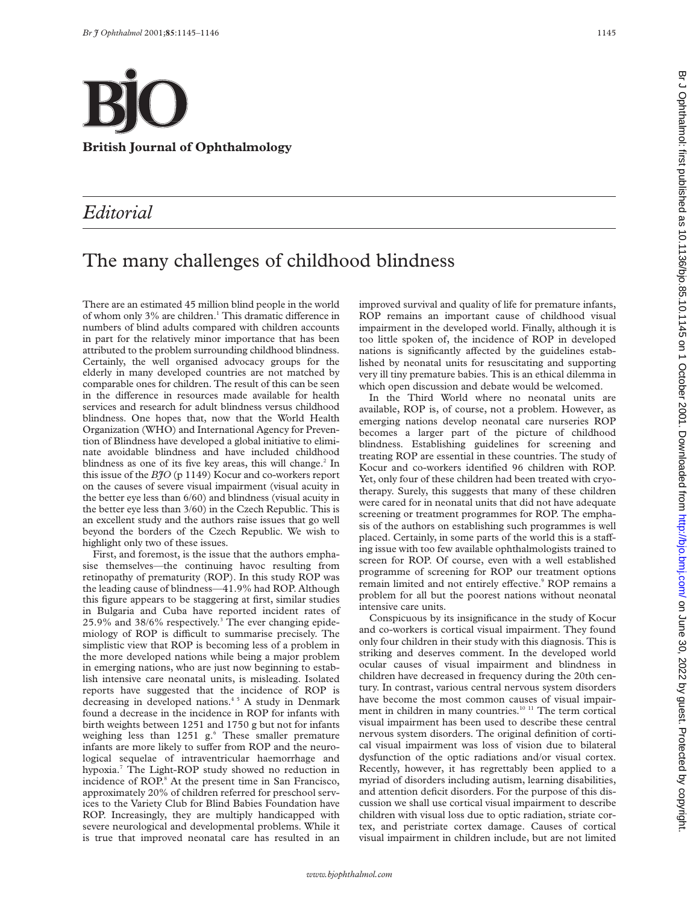

## *Editorial*

# The many challenges of childhood blindness

There are an estimated 45 million blind people in the world of whom only 3% are children.<sup>1</sup> This dramatic difference in numbers of blind adults compared with children accounts in part for the relatively minor importance that has been attributed to the problem surrounding childhood blindness. Certainly, the well organised advocacy groups for the elderly in many developed countries are not matched by comparable ones for children. The result of this can be seen in the difference in resources made available for health services and research for adult blindness versus childhood blindness. One hopes that, now that the World Health Organization (WHO) and International Agency for Prevention of Blindness have developed a global initiative to eliminate avoidable blindness and have included childhood blindness as one of its five key areas, this will change. $2$  In this issue of the *BJO* (p 1149) Kocur and co-workers report on the causes of severe visual impairment (visual acuity in the better eye less than 6/60) and blindness (visual acuity in the better eye less than 3/60) in the Czech Republic. This is an excellent study and the authors raise issues that go well beyond the borders of the Czech Republic. We wish to highlight only two of these issues.

First, and foremost, is the issue that the authors emphasise themselves—the continuing havoc resulting from retinopathy of prematurity (ROP). In this study ROP was the leading cause of blindness—41.9% had ROP. Although this figure appears to be staggering at first, similar studies in Bulgaria and Cuba have reported incident rates of  $25.9\%$  and  $38/6\%$  respectively.<sup>3</sup> The ever changing epidemiology of ROP is difficult to summarise precisely. The simplistic view that ROP is becoming less of a problem in the more developed nations while being a major problem in emerging nations, who are just now beginning to establish intensive care neonatal units, is misleading. Isolated reports have suggested that the incidence of ROP is decreasing in developed nations.<sup>45</sup> A study in Denmark found a decrease in the incidence in ROP for infants with birth weights between 1251 and 1750 g but not for infants weighing less than  $1251$  g. $6$  These smaller premature infants are more likely to suffer from ROP and the neurological sequelae of intraventricular haemorrhage and hypoxia.7 The Light-ROP study showed no reduction in incidence of ROP.<sup>8</sup> At the present time in San Francisco, approximately 20% of children referred for preschool services to the Variety Club for Blind Babies Foundation have ROP. Increasingly, they are multiply handicapped with severe neurological and developmental problems. While it is true that improved neonatal care has resulted in an

improved survival and quality of life for premature infants, ROP remains an important cause of childhood visual impairment in the developed world. Finally, although it is too little spoken of, the incidence of ROP in developed nations is significantly affected by the guidelines established by neonatal units for resuscitating and supporting very ill tiny premature babies. This is an ethical dilemma in which open discussion and debate would be welcomed.

In the Third World where no neonatal units are available, ROP is, of course, not a problem. However, as emerging nations develop neonatal care nurseries ROP becomes a larger part of the picture of childhood blindness. Establishing guidelines for screening and treating ROP are essential in these countries. The study of Kocur and co-workers identified 96 children with ROP. Yet, only four of these children had been treated with cryotherapy. Surely, this suggests that many of these children were cared for in neonatal units that did not have adequate screening or treatment programmes for ROP. The emphasis of the authors on establishing such programmes is well placed. Certainly, in some parts of the world this is a staffing issue with too few available ophthalmologists trained to screen for ROP. Of course, even with a well established programme of screening for ROP our treatment options remain limited and not entirely effective.<sup>9</sup> ROP remains a problem for all but the poorest nations without neonatal intensive care units.

Conspicuous by its insignificance in the study of Kocur and co-workers is cortical visual impairment. They found only four children in their study with this diagnosis. This is striking and deserves comment. In the developed world ocular causes of visual impairment and blindness in children have decreased in frequency during the 20th century. In contrast, various central nervous system disorders have become the most common causes of visual impairment in children in many countries.<sup>10 11</sup> The term cortical visual impairment has been used to describe these central nervous system disorders. The original definition of cortical visual impairment was loss of vision due to bilateral dysfunction of the optic radiations and/or visual cortex. Recently, however, it has regrettably been applied to a myriad of disorders including autism, learning disabilities, and attention deficit disorders. For the purpose of this discussion we shall use cortical visual impairment to describe children with visual loss due to optic radiation, striate cortex, and peristriate cortex damage. Causes of cortical visual impairment in children include, but are not limited